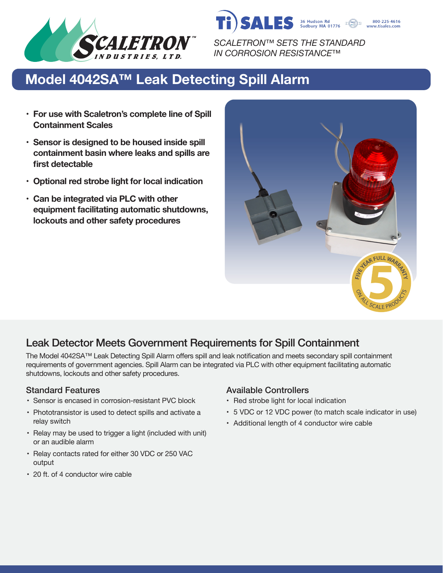

*SCALETRON™ SETS THE STANDARD IN CORROSION RESISTANCE™*

**SALES** 36 Hudson Rd

800-225-4616 www.tisales.com

# **Model 4042SA™ Leak Detecting Spill Alarm**

- **• For use with Scaletron's complete line of Spill Containment Scales**
- **• Sensor is designed to be housed inside spill containment basin where leaks and spills are first detectable**
- **• Optional red strobe light for local indication**
- **• Can be integrated via PLC with other equipment facilitating automatic shutdowns, lockouts and other safety procedures**



# Leak Detector Meets Government Requirements for Spill Containment

The Model 4042SA™ Leak Detecting Spill Alarm offers spill and leak notification and meets secondary spill containment requirements of government agencies. Spill Alarm can be integrated via PLC with other equipment facilitating automatic shutdowns, lockouts and other safety procedures.

- Sensor is encased in corrosion-resistant PVC block
- Phototransistor is used to detect spills and activate a relay switch
- Relay may be used to trigger a light (included with unit) or an audible alarm
- Relay contacts rated for either 30 VDC or 250 VAC output
- 20 ft. of 4 conductor wire cable

### Standard Features **Available Controllers** Available Controllers

- Red strobe light for local indication
- 5 VDC or 12 VDC power (to match scale indicator in use)
- Additional length of 4 conductor wire cable